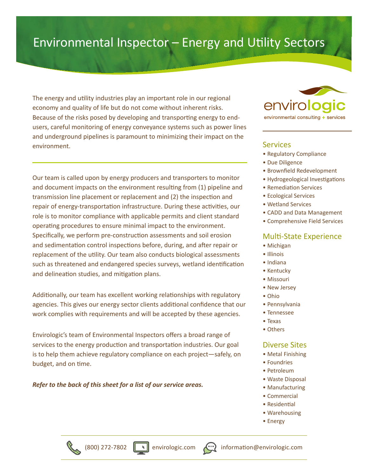# Environmental Inspector – Energy and Utility Sectors

The energy and utility industries play an important role in our regional economy and quality of life but do not come without inherent risks. Because of the risks posed by developing and transporting energy to endusers, careful monitoring of energy conveyance systems such as power lines and underground pipelines is paramount to minimizing their impact on the environment.

Our team is called upon by energy producers and transporters to monitor and document impacts on the environment resulting from (1) pipeline and transmission line placement or replacement and (2) the inspection and repair of energy-transportation infrastructure. During these activities, our role is to monitor compliance with applicable permits and client standard operating procedures to ensure minimal impact to the environment. Specifically, we perform pre-construction assessments and soil erosion and sedimentation control inspections before, during, and after repair or replacement of the utility. Our team also conducts biological assessments such as threatened and endangered species surveys, wetland identification and delineation studies, and mitigation plans.

Additionally, our team has excellent working relationships with regulatory agencies. This gives our energy sector clients additional confidence that our work complies with requirements and will be accepted by these agencies.

Envirologic's team of Environmental Inspectors offers a broad range of services to the energy production and transportation industries. Our goal is to help them achieve regulatory compliance on each project—safely, on budget, and on time.

*Refer to the back of this sheet for a list of our service areas.*



### **Services**

- Regulatory Compliance
- Due Diligence
- Brownfield Redevelopment
- Hydrogeological Investigations
- Remediation Services
- Ecological Services
- Wetland Services
- CADD and Data Management
- Comprehensive Field Services

### Multi-State Experience

- Michigan
- Illinois
- Indiana
- Kentucky
- Missouri
- New Jersey
- Ohio
- Pennsylvania
- Tennessee
- Texas
- Others

### Diverse Sites

- Metal Finishing
- Foundries
- Petroleum
- Waste Disposal
- Manufacturing
- Commercial
- Residential
- Warehousing
- Energy





(800) 272-7802 | | | envirologic.com (...) information@envirologic.com